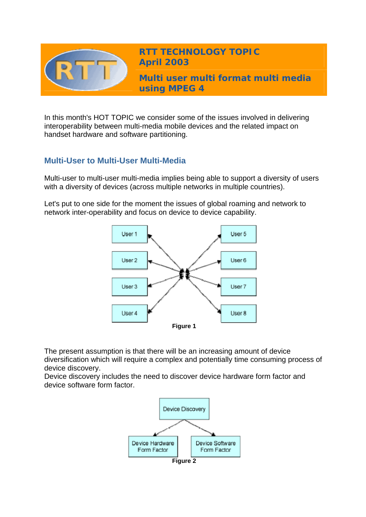

**RTT TECHNOLOGY TOPIC April 2003**

**Multi user multi format multi media using MPEG 4** 

In this month's HOT TOPIC we consider some of the issues involved in delivering interoperability between multi-media mobile devices and the related impact on handset hardware and software partitioning.

## **Multi-User to Multi-User Multi-Media**

Multi-user to multi-user multi-media implies being able to support a diversity of users with a diversity of devices (across multiple networks in multiple countries).

Let's put to one side for the moment the issues of global roaming and network to network inter-operability and focus on device to device capability.



The present assumption is that there will be an increasing amount of device diversification which will require a complex and potentially time consuming process of device discovery.

Device discovery includes the need to discover device hardware form factor and device software form factor.

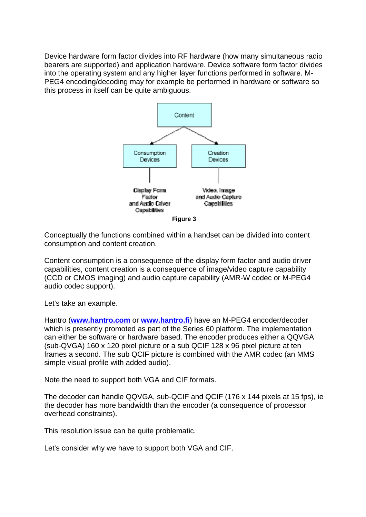Device hardware form factor divides into RF hardware (how many simultaneous radio bearers are supported) and application hardware. Device software form factor divides into the operating system and any higher layer functions performed in software. M-PEG4 encoding/decoding may for example be performed in hardware or software so this process in itself can be quite ambiguous.



Conceptually the functions combined within a handset can be divided into content consumption and content creation.

Content consumption is a consequence of the display form factor and audio driver capabilities, content creation is a consequence of image/video capture capability (CCD or CMOS imaging) and audio capture capability (AMR-W codec or M-PEG4 audio codec support).

Let's take an example.

Hantro (**[www.hantro.com](http://www.hantro.com/)** or **[www.hantro.fi](http://www.hantro.fi/)**) have an M-PEG4 encoder/decoder which is presently promoted as part of the Series 60 platform. The implementation can either be software or hardware based. The encoder produces either a QQVGA (sub-QVGA) 160 x 120 pixel picture or a sub QCIF 128 x 96 pixel picture at ten frames a second. The sub QCIF picture is combined with the AMR codec (an MMS simple visual profile with added audio).

Note the need to support both VGA and CIF formats.

The decoder can handle QQVGA, sub-QCIF and QCIF (176 x 144 pixels at 15 fps), ie the decoder has more bandwidth than the encoder (a consequence of processor overhead constraints).

This resolution issue can be quite problematic.

Let's consider why we have to support both VGA and CIF.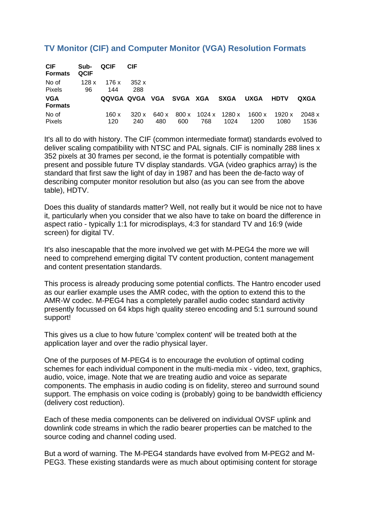# **TV Monitor (CIF) and Computer Monitor (VGA) Resolution Formats**

| <b>CIF</b><br><b>Formats</b> | Sub-<br><b>QCIF</b> | <b>QCIF</b>             | CIF. |       |     |     |                                      |             |             |        |
|------------------------------|---------------------|-------------------------|------|-------|-----|-----|--------------------------------------|-------------|-------------|--------|
| No of                        | 128x                | 176 x                   | 352x |       |     |     |                                      |             |             |        |
| Pixels                       | 96                  | 144                     | 288  |       |     |     |                                      |             |             |        |
| <b>VGA</b><br><b>Formats</b> |                     | QQVGA QVGA VGA SVGA XGA |      |       |     |     | SXGA                                 | <b>UXGA</b> | <b>HDTV</b> | QXGA   |
| No of                        |                     | 160 x                   | 320x | 640 x |     |     | $800 \times 1024 \times 1280 \times$ | 1600x       | 1920 x      | 2048 x |
| <b>Pixels</b>                |                     | 120                     | 240  | 480   | 600 | 768 | 1024                                 | 1200        | 1080        | 1536   |

It's all to do with history. The CIF (common intermediate format) standards evolved to deliver scaling compatibility with NTSC and PAL signals. CIF is nominally 288 lines x 352 pixels at 30 frames per second, ie the format is potentially compatible with present and possible future TV display standards. VGA (video graphics array) is the standard that first saw the light of day in 1987 and has been the de-facto way of describing computer monitor resolution but also (as you can see from the above table), HDTV.

Does this duality of standards matter? Well, not really but it would be nice not to have it, particularly when you consider that we also have to take on board the difference in aspect ratio - typically 1:1 for microdisplays, 4:3 for standard TV and 16:9 (wide screen) for digital TV.

It's also inescapable that the more involved we get with M-PEG4 the more we will need to comprehend emerging digital TV content production, content management and content presentation standards.

This process is already producing some potential conflicts. The Hantro encoder used as our earlier example uses the AMR codec, with the option to extend this to the AMR-W codec. M-PEG4 has a completely parallel audio codec standard activity presently focussed on 64 kbps high quality stereo encoding and 5:1 surround sound support!

This gives us a clue to how future 'complex content' will be treated both at the application layer and over the radio physical layer.

One of the purposes of M-PEG4 is to encourage the evolution of optimal coding schemes for each individual component in the multi-media mix - video, text, graphics, audio, voice, image. Note that we are treating audio and voice as separate components. The emphasis in audio coding is on fidelity, stereo and surround sound support. The emphasis on voice coding is (probably) going to be bandwidth efficiency (delivery cost reduction).

Each of these media components can be delivered on individual OVSF uplink and downlink code streams in which the radio bearer properties can be matched to the source coding and channel coding used.

But a word of warning. The M-PEG4 standards have evolved from M-PEG2 and M-PEG3. These existing standards were as much about optimising content for storage